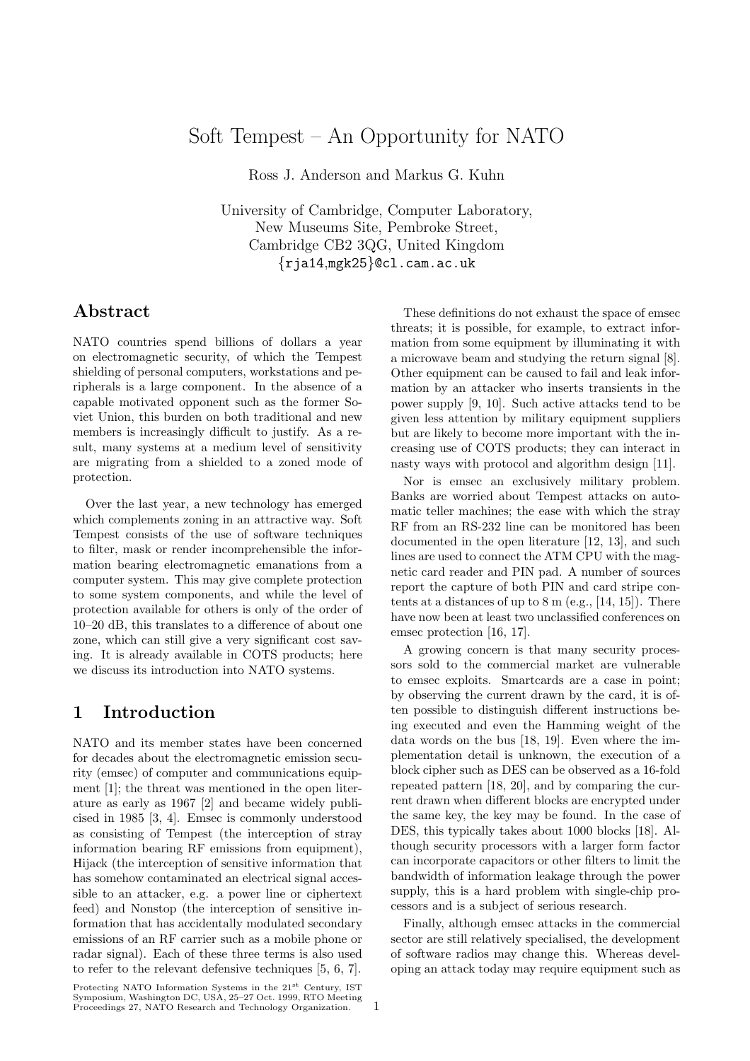## Soft Tempest – An Opportunity for NATO

Ross J. Anderson and Markus G. Kuhn

University of Cambridge, Computer Laboratory, New Museums Site, Pembroke Street, Cambridge CB2 3QG, United Kingdom {rja14,mgk25}@cl.cam.ac.uk

## **Abstract**

NATO countries spend billions of dollars a year on electromagnetic security, of which the Tempest shielding of personal computers, workstations and peripherals is a large component. In the absence of a capable motivated opponent such as the former Soviet Union, this burden on both traditional and new members is increasingly difficult to justify. As a result, many systems at a medium level of sensitivity are migrating from a shielded to a zoned mode of protection.

Over the last year, a new technology has emerged which complements zoning in an attractive way. Soft Tempest consists of the use of software techniques to filter, mask or render incomprehensible the information bearing electromagnetic emanations from a computer system. This may give complete protection to some system components, and while the level of protection available for others is only of the order of 10–20 dB, this translates to a difference of about one zone, which can still give a very significant cost saving. It is already available in COTS products; here we discuss its introduction into NATO systems.

## **1 Introduction**

NATO and its member states have been concerned for decades about the electromagnetic emission security (emsec) of computer and communications equipment [1]; the threat was mentioned in the open literature as early as 1967 [2] and became widely publicised in 1985 [3, 4]. Emsec is commonly understood as consisting of Tempest (the interception of stray information bearing RF emissions from equipment), Hijack (the interception of sensitive information that has somehow contaminated an electrical signal accessible to an attacker, e.g. a power line or ciphertext feed) and Nonstop (the interception of sensitive information that has accidentally modulated secondary emissions of an RF carrier such as a mobile phone or radar signal). Each of these three terms is also used to refer to the relevant defensive techniques [5, 6, 7].

Protecting NATO Information Systems in the 21<sup>st</sup> Century, IST Symposium, Washington DC, USA, 25–27 Oct. 1999, RTO Meeting Proceedings 27, NATO Research and Technology Organization.

These definitions do not exhaust the space of emsec threats; it is possible, for example, to extract information from some equipment by illuminating it with a microwave beam and studying the return signal [8]. Other equipment can be caused to fail and leak information by an attacker who inserts transients in the power supply [9, 10]. Such active attacks tend to be given less attention by military equipment suppliers but are likely to become more important with the increasing use of COTS products; they can interact in nasty ways with protocol and algorithm design [11].

Nor is emsec an exclusively military problem. Banks are worried about Tempest attacks on automatic teller machines; the ease with which the stray RF from an RS-232 line can be monitored has been documented in the open literature [12, 13], and such lines are used to connect the ATM CPU with the magnetic card reader and PIN pad. A number of sources report the capture of both PIN and card stripe contents at a distances of up to 8 m (e.g., [14, 15]). There have now been at least two unclassified conferences on emsec protection [16, 17].

A growing concern is that many security processors sold to the commercial market are vulnerable to emsec exploits. Smartcards are a case in point; by observing the current drawn by the card, it is often possible to distinguish different instructions being executed and even the Hamming weight of the data words on the bus [18, 19]. Even where the implementation detail is unknown, the execution of a block cipher such as DES can be observed as a 16-fold repeated pattern [18, 20], and by comparing the current drawn when different blocks are encrypted under the same key, the key may be found. In the case of DES, this typically takes about 1000 blocks [18]. Although security processors with a larger form factor can incorporate capacitors or other filters to limit the bandwidth of information leakage through the power supply, this is a hard problem with single-chip processors and is a subject of serious research.

Finally, although emsec attacks in the commercial sector are still relatively specialised, the development of software radios may change this. Whereas developing an attack today may require equipment such as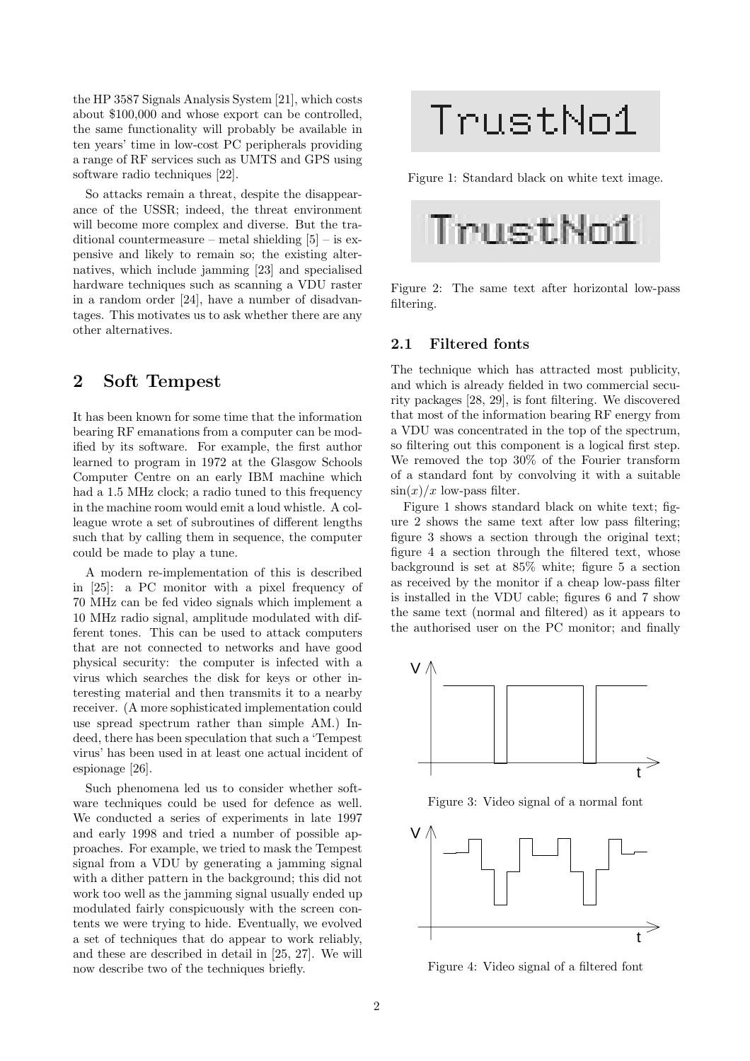the HP 3587 Signals Analysis System [21], which costs about \$100,000 and whose export can be controlled, the same functionality will probably be available in ten years' time in low-cost PC peripherals providing a range of RF services such as UMTS and GPS using software radio techniques [22].

So attacks remain a threat, despite the disappearance of the USSR; indeed, the threat environment will become more complex and diverse. But the traditional countermeasure – metal shielding  $[5]$  – is expensive and likely to remain so; the existing alternatives, which include jamming [23] and specialised hardware techniques such as scanning a VDU raster in a random order [24], have a number of disadvantages. This motivates us to ask whether there are any other alternatives.

## **2 Soft Tempest**

It has been known for some time that the information bearing RF emanations from a computer can be modified by its software. For example, the first author learned to program in 1972 at the Glasgow Schools Computer Centre on an early IBM machine which had a 1.5 MHz clock; a radio tuned to this frequency in the machine room would emit a loud whistle. A colleague wrote a set of subroutines of different lengths such that by calling them in sequence, the computer could be made to play a tune.

A modern re-implementation of this is described in [25]: a PC monitor with a pixel frequency of 70 MHz can be fed video signals which implement a 10 MHz radio signal, amplitude modulated with different tones. This can be used to attack computers that are not connected to networks and have good physical security: the computer is infected with a virus which searches the disk for keys or other interesting material and then transmits it to a nearby receiver. (A more sophisticated implementation could use spread spectrum rather than simple AM.) Indeed, there has been speculation that such a 'Tempest virus' has been used in at least one actual incident of espionage [26].

Such phenomena led us to consider whether software techniques could be used for defence as well. We conducted a series of experiments in late 1997 and early 1998 and tried a number of possible approaches. For example, we tried to mask the Tempest signal from a VDU by generating a jamming signal with a dither pattern in the background; this did not work too well as the jamming signal usually ended up modulated fairly conspicuously with the screen contents we were trying to hide. Eventually, we evolved a set of techniques that do appear to work reliably, and these are described in detail in [25, 27]. We will now describe two of the techniques briefly.

# TrustNo1

Figure 1: Standard black on white text image.



Figure 2: The same text after horizontal low-pass filtering.

#### **2.1 Filtered fonts**

The technique which has attracted most publicity, and which is already fielded in two commercial security packages [28, 29], is font filtering. We discovered that most of the information bearing RF energy from a VDU was concentrated in the top of the spectrum, so filtering out this component is a logical first step. We removed the top 30% of the Fourier transform of a standard font by convolving it with a suitable  $\sin(x)/x$  low-pass filter.

Figure 1 shows standard black on white text; figure 2 shows the same text after low pass filtering; figure 3 shows a section through the original text; figure 4 a section through the filtered text, whose background is set at 85% white; figure 5 a section as received by the monitor if a cheap low-pass filter is installed in the VDU cable; figures 6 and 7 show the same text (normal and filtered) as it appears to the authorised user on the PC monitor; and finally



Figure 3: Video signal of a normal font



Figure 4: Video signal of a filtered font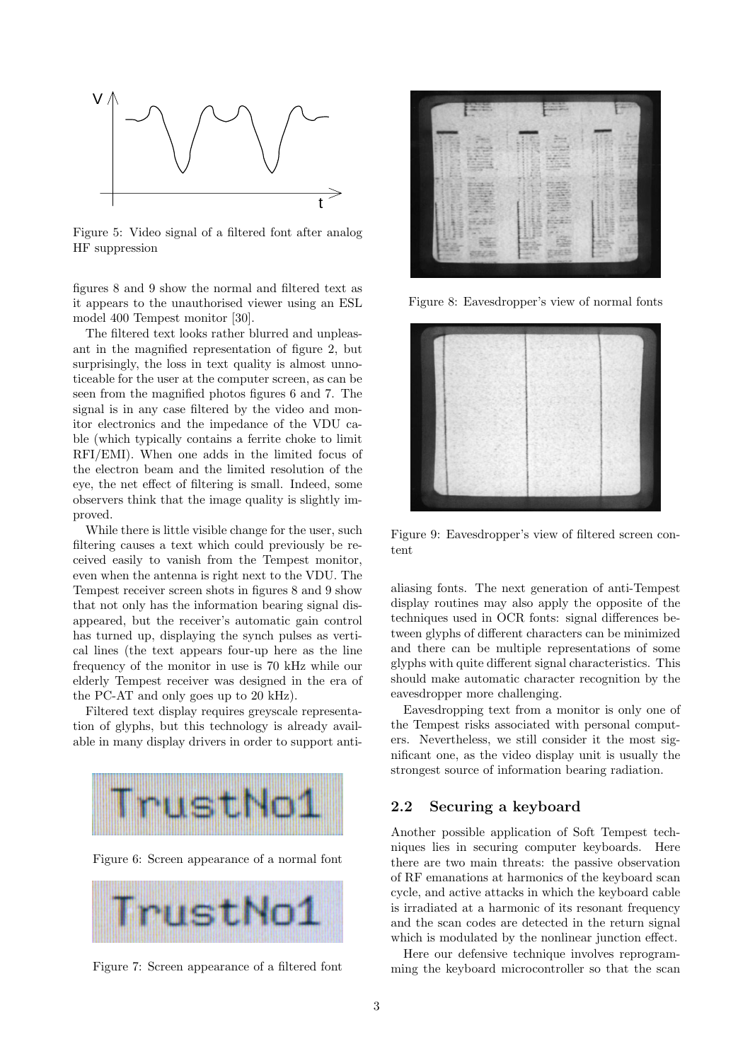

Figure 5: Video signal of a filtered font after analog HF suppression

figures 8 and 9 show the normal and filtered text as it appears to the unauthorised viewer using an ESL model 400 Tempest monitor [30].

The filtered text looks rather blurred and unpleasant in the magnified representation of figure 2, but surprisingly, the loss in text quality is almost unnoticeable for the user at the computer screen, as can be seen from the magnified photos figures 6 and 7. The signal is in any case filtered by the video and monitor electronics and the impedance of the VDU cable (which typically contains a ferrite choke to limit RFI/EMI). When one adds in the limited focus of the electron beam and the limited resolution of the eye, the net effect of filtering is small. Indeed, some observers think that the image quality is slightly improved.

While there is little visible change for the user, such filtering causes a text which could previously be received easily to vanish from the Tempest monitor, even when the antenna is right next to the VDU. The Tempest receiver screen shots in figures 8 and 9 show that not only has the information bearing signal disappeared, but the receiver's automatic gain control has turned up, displaying the synch pulses as vertical lines (the text appears four-up here as the line frequency of the monitor in use is 70 kHz while our elderly Tempest receiver was designed in the era of the PC-AT and only goes up to 20 kHz).

Filtered text display requires greyscale representation of glyphs, but this technology is already available in many display drivers in order to support anti-



Figure 6: Screen appearance of a normal font



Figure 7: Screen appearance of a filtered font



Figure 8: Eavesdropper's view of normal fonts



Figure 9: Eavesdropper's view of filtered screen content

aliasing fonts. The next generation of anti-Tempest display routines may also apply the opposite of the techniques used in OCR fonts: signal differences between glyphs of different characters can be minimized and there can be multiple representations of some glyphs with quite different signal characteristics. This should make automatic character recognition by the eavesdropper more challenging.

Eavesdropping text from a monitor is only one of the Tempest risks associated with personal computers. Nevertheless, we still consider it the most significant one, as the video display unit is usually the strongest source of information bearing radiation.

#### **2.2 Securing a keyboard**

Another possible application of Soft Tempest techniques lies in securing computer keyboards. Here there are two main threats: the passive observation of RF emanations at harmonics of the keyboard scan cycle, and active attacks in which the keyboard cable is irradiated at a harmonic of its resonant frequency and the scan codes are detected in the return signal which is modulated by the nonlinear junction effect.

Here our defensive technique involves reprogramming the keyboard microcontroller so that the scan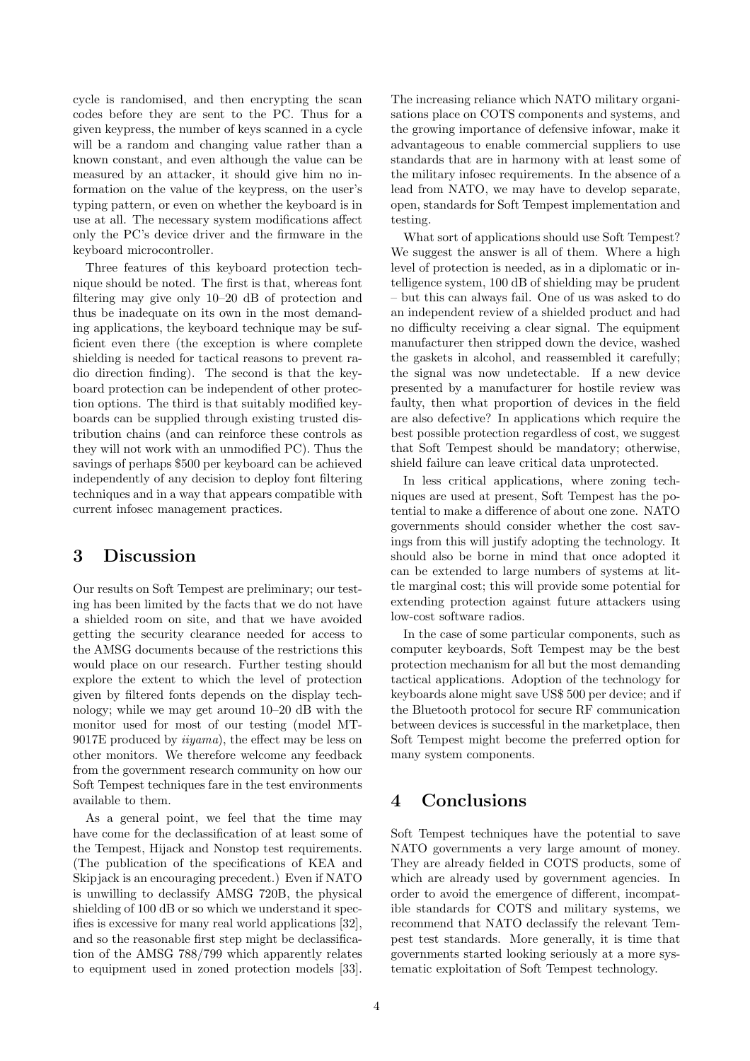cycle is randomised, and then encrypting the scan codes before they are sent to the PC. Thus for a given keypress, the number of keys scanned in a cycle will be a random and changing value rather than a known constant, and even although the value can be measured by an attacker, it should give him no information on the value of the keypress, on the user's typing pattern, or even on whether the keyboard is in use at all. The necessary system modifications affect only the PC's device driver and the firmware in the keyboard microcontroller.

Three features of this keyboard protection technique should be noted. The first is that, whereas font filtering may give only 10–20 dB of protection and thus be inadequate on its own in the most demanding applications, the keyboard technique may be sufficient even there (the exception is where complete shielding is needed for tactical reasons to prevent radio direction finding). The second is that the keyboard protection can be independent of other protection options. The third is that suitably modified keyboards can be supplied through existing trusted distribution chains (and can reinforce these controls as they will not work with an unmodified PC). Thus the savings of perhaps \$500 per keyboard can be achieved independently of any decision to deploy font filtering techniques and in a way that appears compatible with current infosec management practices.

### **3 Discussion**

Our results on Soft Tempest are preliminary; our testing has been limited by the facts that we do not have a shielded room on site, and that we have avoided getting the security clearance needed for access to the AMSG documents because of the restrictions this would place on our research. Further testing should explore the extent to which the level of protection given by filtered fonts depends on the display technology; while we may get around 10–20 dB with the monitor used for most of our testing (model MT-9017E produced by iiyama), the effect may be less on other monitors. We therefore welcome any feedback from the government research community on how our Soft Tempest techniques fare in the test environments available to them.

As a general point, we feel that the time may have come for the declassification of at least some of the Tempest, Hijack and Nonstop test requirements. (The publication of the specifications of KEA and Skipjack is an encouraging precedent.) Even if NATO is unwilling to declassify AMSG 720B, the physical shielding of 100 dB or so which we understand it specifies is excessive for many real world applications [32], and so the reasonable first step might be declassification of the AMSG 788/799 which apparently relates to equipment used in zoned protection models [33]. The increasing reliance which NATO military organisations place on COTS components and systems, and the growing importance of defensive infowar, make it advantageous to enable commercial suppliers to use standards that are in harmony with at least some of the military infosec requirements. In the absence of a lead from NATO, we may have to develop separate, open, standards for Soft Tempest implementation and testing.

What sort of applications should use Soft Tempest? We suggest the answer is all of them. Where a high level of protection is needed, as in a diplomatic or intelligence system, 100 dB of shielding may be prudent – but this can always fail. One of us was asked to do an independent review of a shielded product and had no difficulty receiving a clear signal. The equipment manufacturer then stripped down the device, washed the gaskets in alcohol, and reassembled it carefully; the signal was now undetectable. If a new device presented by a manufacturer for hostile review was faulty, then what proportion of devices in the field are also defective? In applications which require the best possible protection regardless of cost, we suggest that Soft Tempest should be mandatory; otherwise, shield failure can leave critical data unprotected.

In less critical applications, where zoning techniques are used at present, Soft Tempest has the potential to make a difference of about one zone. NATO governments should consider whether the cost savings from this will justify adopting the technology. It should also be borne in mind that once adopted it can be extended to large numbers of systems at little marginal cost; this will provide some potential for extending protection against future attackers using low-cost software radios.

In the case of some particular components, such as computer keyboards, Soft Tempest may be the best protection mechanism for all but the most demanding tactical applications. Adoption of the technology for keyboards alone might save US\$ 500 per device; and if the Bluetooth protocol for secure RF communication between devices is successful in the marketplace, then Soft Tempest might become the preferred option for many system components.

## **4 Conclusions**

Soft Tempest techniques have the potential to save NATO governments a very large amount of money. They are already fielded in COTS products, some of which are already used by government agencies. In order to avoid the emergence of different, incompatible standards for COTS and military systems, we recommend that NATO declassify the relevant Tempest test standards. More generally, it is time that governments started looking seriously at a more systematic exploitation of Soft Tempest technology.